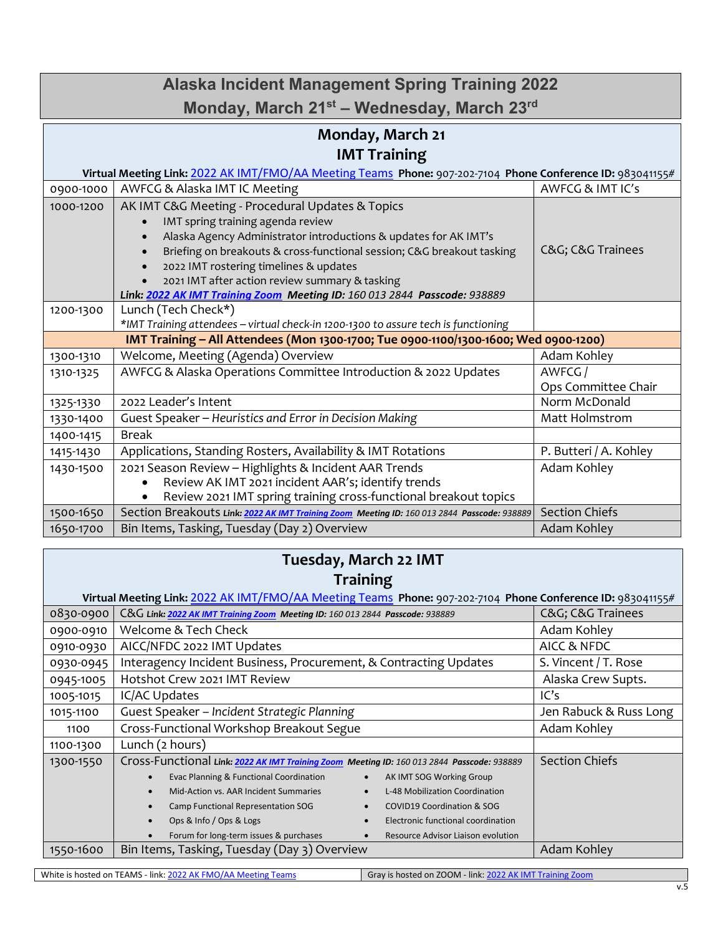## **Monday, March 21 IMT Training Virtual Meeting Link:** [2022 AK IMT/FMO/AA Meeting Teams](https://gcc02.safelinks.protection.outlook.com/ap/t-59584e83/?url=https%3A%2F%2Fteams.microsoft.com%2Fl%2Fmeetup-join%2F19%253ameeting_YzM2OWRjYTgtNjNkYS00YjY0LTg5ZDItOTY2MDFjZDE1ZmU1%2540thread.v2%2F0%3Fcontext%3D%257b%2522Tid%2522%253a%252220030bf6-7ad9-42f7-9273-59ea83fcfa38%2522%252c%2522Oid%2522%253a%25227501c2f5-c08b-431c-be47-e558dcf2a8db%2522%257d&data=04%7C01%7Cakohley%40blm.gov%7Cd797c9e4b05d41f0c59408d9f6535ce1%7C0693b5ba4b184d7b9341f32f400a5494%7C0%7C0%7C637811660178883456%7CUnknown%7CTWFpbGZsb3d8eyJWIjoiMC4wLjAwMDAiLCJQIjoiV2luMzIiLCJBTiI6Ik1haWwiLCJXVCI6Mn0%3D%7C3000&sdata=yDqAgfNJAG0C%2BUMRG8%2BO2f85TymacxLIaQj87LWWWUI%3D&reserved=0) **Phone:** 907-202-7104 **Phone Conference ID:** 983041155# 0900-1000 | AWFCG & Alaska IMT IC Meeting AWFCG & IMT IC's 1000-1200 | AK IMT C&G Meeting - Procedural Updates & Topics IMT spring training agenda review • Alaska Agency Administrator introductions & updates for AK IMT's • Briefing on breakouts & cross-functional session; C&G breakout tasking • 2022 IMT rostering timelines & updates • 2021 IMT after action review summary & tasking *Link: [2022 AK IMT Training Zoom](https://blm.zoomgov.com/j/1600132844?pwd=ZEFqNk1CSys5MlNHTzY1a0RVczZRUT09) Meeting ID: 160 013 2844 Passcode: 938889* C&G; C&G Trainees 1200-1300 Lunch (Tech Check\*) *\*IMT Training attendees – virtual check-in 1200-1300 to assure tech is functioning* **IMT Training – All Attendees (Mon 1300-1700; Tue 0900-1100/1300-1600; Wed 0900-1200)** 1300-1310 | Welcome, Meeting (Agenda) Overview Adam Kohley | Adam Kohley 1310-1325 | AWFCG & Alaska Operations Committee Introduction & 2022 Updates | AWFCG / Ops Committee Chair 1325-1330 2022 Leader's Intent 1325-1330 2022 Leader's Intent 1330-1400 Guest Speaker – *Heuristics and Error in Decision Making* Matt Holmstrom 1400-1415 | Break 1415-1430 | Applications, Standing Rosters, Availability & IMT Rotations | P. Butteri / A. Kohley 1430-1500 2021 Season Review – Highlights & Incident AAR Trends • Review AK IMT 2021 incident AAR's; identify trends • Review 2021 IMT spring training cross-functional breakout topics Adam Kohley 1500-1650 Section Breakouts Link: [2022 AK IMT Training Zoom](https://blm.zoomgov.com/j/1600132844?pwd=ZEFqNk1CSys5MlNHTzY1a0RVczZRUT09) Meeting ID: 160 013 2844 Passcode: 938889 Section Chiefs **Alaska Incident Management Spring Training 2022 Monday, March 21st – Wednesday, March 23rd**

## **Tuesday, March 22 IMT Training**

1650-1700 | Bin Items, Tasking, Tuesday (Day 2) Overview Adam Kohley | Adam Kohley

| Virtual Meeting Link: 2022 AK IMT/FMO/AA Meeting Teams Phone: 907-202-7104 Phone Conference ID: 983041155# |                                                                                            |                        |
|------------------------------------------------------------------------------------------------------------|--------------------------------------------------------------------------------------------|------------------------|
| 0830-0900                                                                                                  | C&G Link: 2022 AK IMT Training Zoom Meeting ID: 160 013 2844 Passcode: 938889              | C&G C&G Trainees       |
| 0900-0910                                                                                                  | Welcome & Tech Check                                                                       | Adam Kohley            |
| 0910-0930                                                                                                  | AICC/NFDC 2022 IMT Updates                                                                 | AICC & NFDC            |
| 0930-0945                                                                                                  | Interagency Incident Business, Procurement, & Contracting Updates                          | S. Vincent / T. Rose   |
| 0945-1005                                                                                                  | Hotshot Crew 2021 IMT Review                                                               | Alaska Crew Supts.     |
| 1005-1015                                                                                                  | IC/AC Updates                                                                              | IC's                   |
| 1015-1100                                                                                                  | Guest Speaker - Incident Strategic Planning                                                | Jen Rabuck & Russ Long |
| 1100                                                                                                       | Cross-Functional Workshop Breakout Segue                                                   | Adam Kohley            |
| 1100-1300                                                                                                  | Lunch (2 hours)                                                                            |                        |
| 1300-1550                                                                                                  | Cross-Functional Link: 2022 AK IMT Training Zoom Meeting ID: 160 013 2844 Passcode: 938889 | <b>Section Chiefs</b>  |
|                                                                                                            | Evac Planning & Functional Coordination<br>AK IMT SOG Working Group                        |                        |
|                                                                                                            | Mid-Action vs. AAR Incident Summaries<br>L-48 Mobilization Coordination                    |                        |
|                                                                                                            | Camp Functional Representation SOG<br><b>COVID19 Coordination &amp; SOG</b>                |                        |
|                                                                                                            | Ops & Info / Ops & Logs<br>Electronic functional coordination                              |                        |
|                                                                                                            | Forum for long-term issues & purchases<br>Resource Advisor Liaison evolution               |                        |
| 1550-1600                                                                                                  | Bin Items, Tasking, Tuesday (Day 3) Overview                                               | Adam Kohley            |

White is hosted on TEAMS - link[: 2022 AK FMO/AA Meeting Teams](https://gcc02.safelinks.protection.outlook.com/ap/t-59584e83/?url=https%3A%2F%2Fteams.microsoft.com%2Fl%2Fmeetup-join%2F19%253ameeting_YzM2OWRjYTgtNjNkYS00YjY0LTg5ZDItOTY2MDFjZDE1ZmU1%2540thread.v2%2F0%3Fcontext%3D%257b%2522Tid%2522%253a%252220030bf6-7ad9-42f7-9273-59ea83fcfa38%2522%252c%2522Oid%2522%253a%25227501c2f5-c08b-431c-be47-e558dcf2a8db%2522%257d&data=04%7C01%7Cakohley%40blm.gov%7Cd797c9e4b05d41f0c59408d9f6535ce1%7C0693b5ba4b184d7b9341f32f400a5494%7C0%7C0%7C637811660178883456%7CUnknown%7CTWFpbGZsb3d8eyJWIjoiMC4wLjAwMDAiLCJQIjoiV2luMzIiLCJBTiI6Ik1haWwiLCJXVCI6Mn0%3D%7C3000&sdata=yDqAgfNJAG0C%2BUMRG8%2BO2f85TymacxLIaQj87LWWWUI%3D&reserved=0) Gray is hosted on ZOOM - link[: 2022 AK IMT Training Zoom](https://blm.zoomgov.com/j/1600132844?pwd=ZEFqNk1CSys5MlNHTzY1a0RVczZRUT09)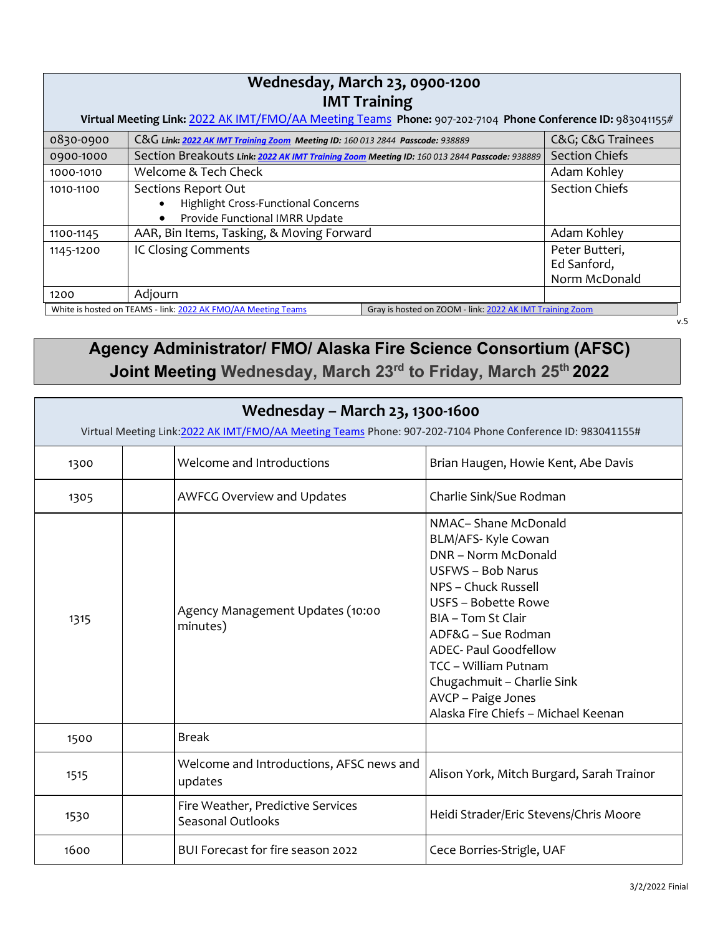| Wednesday, March 23, 0900-1200<br><b>IMT Training</b>                                                      |                                                                                                   |                                                          |                                                |
|------------------------------------------------------------------------------------------------------------|---------------------------------------------------------------------------------------------------|----------------------------------------------------------|------------------------------------------------|
| Virtual Meeting Link: 2022 AK IMT/FMO/AA Meeting Teams Phone: 907-202-7104 Phone Conference ID: 983041155# |                                                                                                   |                                                          |                                                |
| 0830-0900                                                                                                  | C&G Link: 2022 AK IMT Training Zoom Meeting ID: 160 013 2844 Passcode: 938889                     |                                                          | C&G C&G Trainees                               |
| 0900-1000                                                                                                  | Section Breakouts Link: 2022 AK IMT Training Zoom Meeting ID: 160 013 2844 Passcode: 938889       |                                                          | <b>Section Chiefs</b>                          |
| 1000-1010                                                                                                  | Welcome & Tech Check                                                                              |                                                          | Adam Kohley                                    |
| 1010-1100                                                                                                  | Sections Report Out<br>Highlight Cross-Functional Concerns<br>Provide Functional IMRR Update<br>٠ |                                                          | <b>Section Chiefs</b>                          |
| 1100-1145                                                                                                  | AAR, Bin Items, Tasking, & Moving Forward                                                         |                                                          | Adam Kohley                                    |
| 1145-1200                                                                                                  | IC Closing Comments                                                                               |                                                          | Peter Butteri,<br>Ed Sanford,<br>Norm McDonald |
| 1200                                                                                                       | Adjourn                                                                                           |                                                          |                                                |
|                                                                                                            | White is hosted on TEAMS - link: 2022 AK FMO/AA Meeting Teams                                     | Gray is hosted on ZOOM - link: 2022 AK IMT Training Zoom |                                                |

## **Agency Administrator/ FMO/ Alaska Fire Science Consortium (AFSC) Joint Meeting Wednesday, March 23rd to Friday, March 25th 2022**

| Wednesday - March 23, 1300-1600<br>Virtual Meeting Link: 2022 AK IMT/FMO/AA Meeting Teams Phone: 907-202-7104 Phone Conference ID: 983041155# |                                                        |                                                                                                                                                                                                                                                                                                                              |
|-----------------------------------------------------------------------------------------------------------------------------------------------|--------------------------------------------------------|------------------------------------------------------------------------------------------------------------------------------------------------------------------------------------------------------------------------------------------------------------------------------------------------------------------------------|
| 1300                                                                                                                                          | <b>Welcome and Introductions</b>                       | Brian Haugen, Howie Kent, Abe Davis                                                                                                                                                                                                                                                                                          |
| 1305                                                                                                                                          | <b>AWFCG Overview and Updates</b>                      | Charlie Sink/Sue Rodman                                                                                                                                                                                                                                                                                                      |
| 1315                                                                                                                                          | Agency Management Updates (10:00<br>minutes)           | NMAC-Shane McDonald<br>BLM/AFS- Kyle Cowan<br>DNR - Norm McDonald<br>USFWS - Bob Narus<br>NPS - Chuck Russell<br>USFS - Bobette Rowe<br>BIA - Tom St Clair<br>ADF&G - Sue Rodman<br>ADEC- Paul Goodfellow<br>TCC - William Putnam<br>Chugachmuit - Charlie Sink<br>AVCP - Paige Jones<br>Alaska Fire Chiefs - Michael Keenan |
| 1500                                                                                                                                          | <b>Break</b>                                           |                                                                                                                                                                                                                                                                                                                              |
| 1515                                                                                                                                          | Welcome and Introductions, AFSC news and<br>updates    | Alison York, Mitch Burgard, Sarah Trainor                                                                                                                                                                                                                                                                                    |
| 1530                                                                                                                                          | Fire Weather, Predictive Services<br>Seasonal Outlooks | Heidi Strader/Eric Stevens/Chris Moore                                                                                                                                                                                                                                                                                       |
| 1600                                                                                                                                          | BUI Forecast for fire season 2022                      | Cece Borries-Strigle, UAF                                                                                                                                                                                                                                                                                                    |

v.5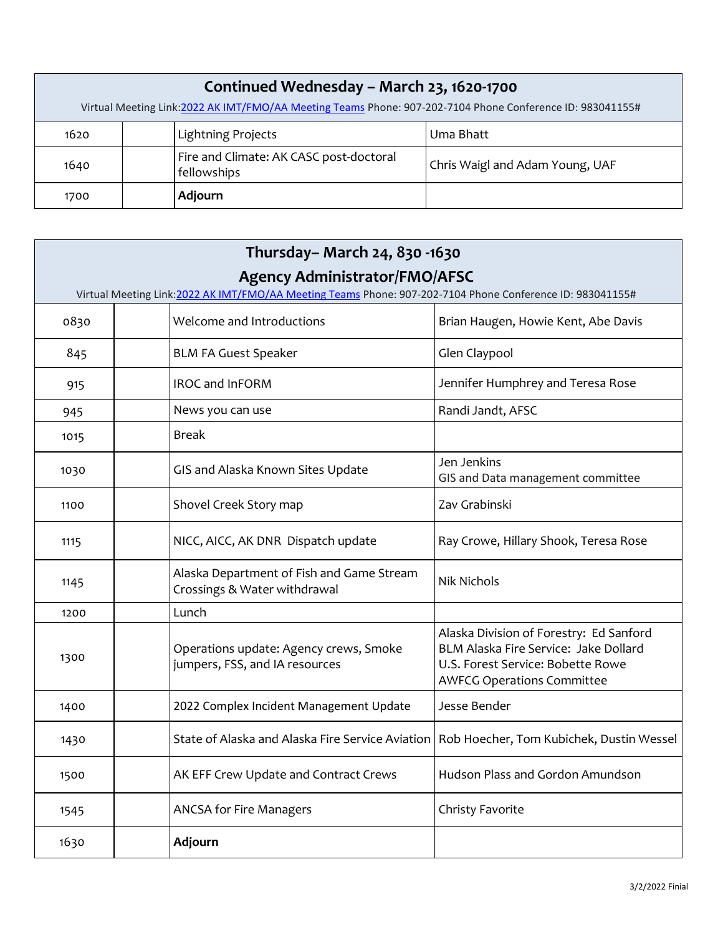| Continued Wednesday - March 23, 1620-1700<br>Virtual Meeting Link:2022 AK IMT/FMO/AA Meeting Teams Phone: 907-202-7104 Phone Conference ID: 983041155# |                                                        |                                 |
|--------------------------------------------------------------------------------------------------------------------------------------------------------|--------------------------------------------------------|---------------------------------|
| 1620                                                                                                                                                   | <b>Lightning Projects</b>                              | Uma Bhatt                       |
| 1640                                                                                                                                                   | Fire and Climate: AK CASC post-doctoral<br>fellowships | Chris Waigl and Adam Young, UAF |
| 1700                                                                                                                                                   | Adjourn                                                |                                 |

| Thursday - March 24, 830 -1630       |                                                                                                            |                                                                                                                                                            |
|--------------------------------------|------------------------------------------------------------------------------------------------------------|------------------------------------------------------------------------------------------------------------------------------------------------------------|
| <b>Agency Administrator/FMO/AFSC</b> |                                                                                                            |                                                                                                                                                            |
|                                      | Virtual Meeting Link: 2022 AK IMT/FMO/AA Meeting Teams Phone: 907-202-7104 Phone Conference ID: 983041155# |                                                                                                                                                            |
| 0830                                 | Welcome and Introductions                                                                                  | Brian Haugen, Howie Kent, Abe Davis                                                                                                                        |
| 845                                  | <b>BLM FA Guest Speaker</b>                                                                                | Glen Claypool                                                                                                                                              |
| 915                                  | IROC and InFORM                                                                                            | Jennifer Humphrey and Teresa Rose                                                                                                                          |
| 945                                  | News you can use                                                                                           | Randi Jandt, AFSC                                                                                                                                          |
| 1015                                 | Break                                                                                                      |                                                                                                                                                            |
| 1030                                 | GIS and Alaska Known Sites Update                                                                          | Jen Jenkins<br>GIS and Data management committee                                                                                                           |
| 1100                                 | Shovel Creek Story map                                                                                     | Zav Grabinski                                                                                                                                              |
| 1115                                 | NICC, AICC, AK DNR Dispatch update                                                                         | Ray Crowe, Hillary Shook, Teresa Rose                                                                                                                      |
| 1145                                 | Alaska Department of Fish and Game Stream<br>Crossings & Water withdrawal                                  | <b>Nik Nichols</b>                                                                                                                                         |
| 1200                                 | Lunch                                                                                                      |                                                                                                                                                            |
| 1300                                 | Operations update: Agency crews, Smoke<br>jumpers, FSS, and IA resources                                   | Alaska Division of Forestry: Ed Sanford<br>BLM Alaska Fire Service: Jake Dollard<br>U.S. Forest Service: Bobette Rowe<br><b>AWFCG Operations Committee</b> |
| 1400                                 | 2022 Complex Incident Management Update                                                                    | Jesse Bender                                                                                                                                               |
| 1430                                 | State of Alaska and Alaska Fire Service Aviation                                                           | Rob Hoecher, Tom Kubichek, Dustin Wessel                                                                                                                   |
| 1500                                 | AK EFF Crew Update and Contract Crews                                                                      | Hudson Plass and Gordon Amundson                                                                                                                           |
| 1545                                 | <b>ANCSA for Fire Managers</b>                                                                             | Christy Favorite                                                                                                                                           |
| 1630                                 | Adjourn                                                                                                    |                                                                                                                                                            |